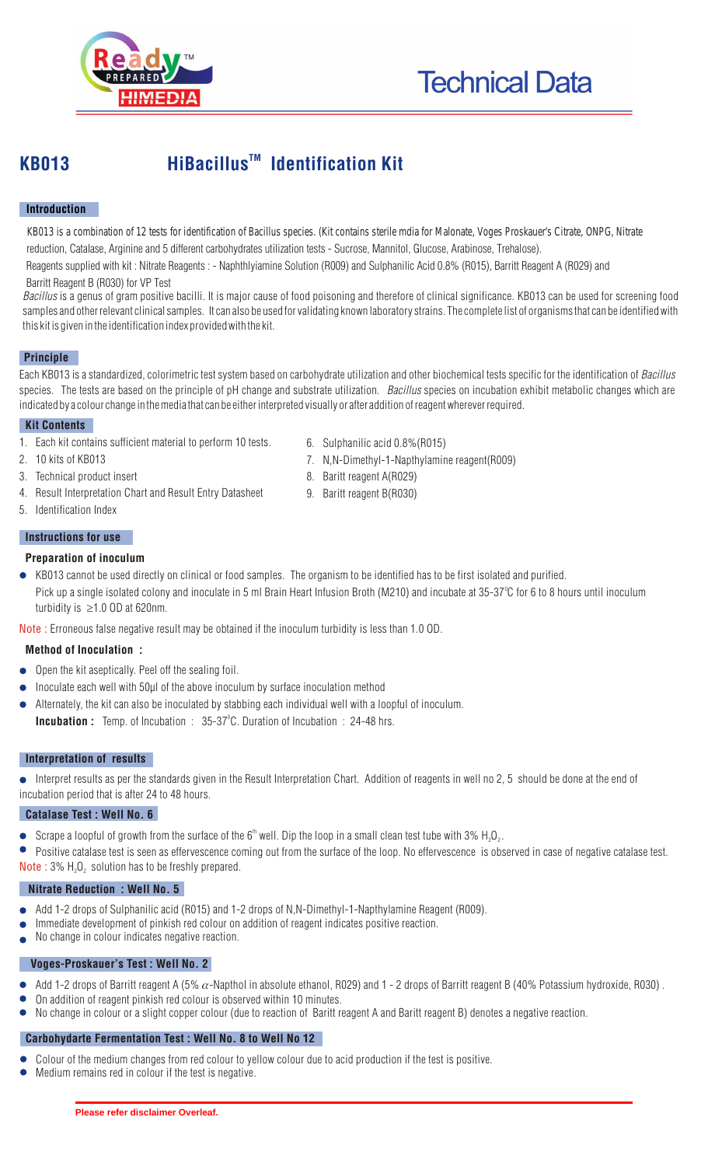

# **KB013** HiBacillus<sup>™</sup> Identification Kit

# **Introduction**

 reduction, Catalase, Arginine and 5 different carbohydrates utilization tests - Sucrose, Mannitol, Glucose, Arabinose, Trehalose). KB013 is a combination of 12 tests for identification of Bacillus species. (Kit contains sterile mdia for Malonate, Voges Proskauer's Citrate, ONPG, Nitrate

 Barritt Reagent B (R030) for VP Test Reagents supplied with kit : Nitrate Reagents : - Naphthlyiamine Solution (R009) and Sulphanilic Acid 0.8% (R015), Barritt Reagent A (R029) and

*Bacillus* is a genus of gram positive bacilli. It is major cause of food poisoning and therefore of clinical significance. KB013 can be used for screening food samples and other relevant clinical samples. It can also be used for validating known laboratory strains. The complete list of organisms that can be identified with this kit is given in the identification index provided with the kit.

# **Principle**

Each KB013 is a standardized, colorimetric test system based on carbohydrate utilization and other biochemical tests specific for the identification of *Bacillus* species. The tests are based on the principle of pH change and substrate utilization. *Bacillus* species on incubation exhibit metabolic changes which are indicated by a colour change in the media that can be either interpreted visually or after addition of reagent wherever required.

# **Kit Contents**

- 1. Each kit contains sufficient material to perform 10 tests.
- 2. 10 kits of KB013
- 3. Technical product insert
- 4. Result Interpretation Chart and Result Entry Datasheet
- 5. Identification Index

#### **Instructions for use**

#### **Preparation of inoculum**

KB013 cannot be used directly on clinical or food samples. The organism to be identified has to be first isolated and purified. Pick up a single isolated colony and inoculate in 5 ml Brain Heart Infusion Broth (M210) and incubate at 35-37°C for 6 to 8 hours until inoculum turbidity is  $\geq 1.0$  OD at 620nm.

Note : Erroneous false negative result may be obtained if the inoculum turbidity is less than 1.0 OD.

# **Method of Inoculation :**

- $\bullet$  Open the kit aseptically. Peel off the sealing foil.
- Inoculate each well with 50µl of the above inoculum by surface inoculation method
- Alternately, the kit can also be inoculated by stabbing each individual well with a loopful of inoculum.
- **Incubation :** Temp. of Incubation : 35-37°C. Duration of Incubation : 24-48 hrs.

# **Interpretation of results**

Interpret results as per the standards given in the Result Interpretation Chart. Addition of reagents in well no 2, 5 should be done at the end of incubation period that is after 24 to 48 hours.

#### **Catalase Test : Well No. 6**

Scrape a loopful of growth from the surface of the 6<sup>th</sup> well. Dip the loop in a small clean test tube with 3% H<sub>2</sub>O<sub>2</sub>.  $\bullet$ 

Positive catalase test is seen as effervescence coming out from the surface of the loop. No effervescence is observed in case of negative catalase test.

**Note** : 3%  $H_2O_2$  solution has to be freshly prepared.

# **Nitrate Reduction : Well No. 5**

- Add 1-2 drops of Sulphanilic acid (R015) and 1-2 drops of N,N-Dimethyl-1-Napthylamine Reagent (R009).
- Immediate development of pinkish red colour on addition of reagent indicates positive reaction.
- No change in colour indicates negative reaction.  $\bullet$

# **Voges-Proskauer's Test : Well No. 2**

- Add 1-2 drops of Barritt reagent A (5%  $\alpha$ -Napthol in absolute ethanol, R029) and 1 2 drops of Barritt reagent B (40% Potassium hydroxide, R030).  $\bullet$
- On addition of reagent pinkish red colour is observed within 10 minutes.
- $\bullet$ No change in colour or a slight copper colour (due to reaction of Baritt reagent A and Baritt reagent B) denotes a negative reaction.

# **Carbohydarte Fermentation Test : Well No. 8 to Well No 12**

- Colour of the medium changes from red colour to yellow colour due to acid production if the test is positive.
- Medium remains red in colour if the test is negative.
- 6. Sulphanilic acid 0.8%(R015)
- 7. N,N-Dimethyl-1-Napthylamine reagent(R009)
- 8. Baritt reagent A(R029)
- 9. Baritt reagent B(R030)